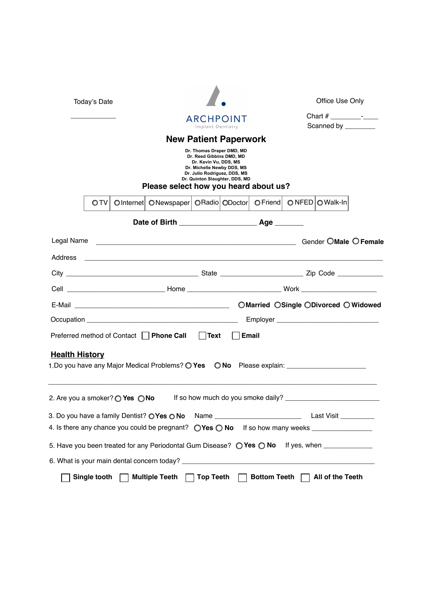| Today's Date          |              |                                                   | ARCHPOINT                                                                                                                                                                                                                            |                                                                                                                                              |                                                                |                     |  | <b>Office Use Only</b><br>Chart $#$ $-$<br>Scanned by ________ |                       |
|-----------------------|--------------|---------------------------------------------------|--------------------------------------------------------------------------------------------------------------------------------------------------------------------------------------------------------------------------------------|----------------------------------------------------------------------------------------------------------------------------------------------|----------------------------------------------------------------|---------------------|--|----------------------------------------------------------------|-----------------------|
|                       |              |                                                   |                                                                                                                                                                                                                                      |                                                                                                                                              |                                                                |                     |  |                                                                |                       |
|                       |              |                                                   |                                                                                                                                                                                                                                      | Implant Dentistry                                                                                                                            |                                                                |                     |  |                                                                |                       |
|                       |              |                                                   | Please select how you heard about us?                                                                                                                                                                                                | Dr. Thomas Draper DMD, MD<br>Dr. Reed Gibbins DMD, MD<br>Dr. Kevin Vu, DDS, MS<br>Dr. Michelle Newby DDS, MS<br>Dr. Julio Rodriguez, DDS, MS | <b>New Patient Paperwork</b><br>Dr. Quinton Slaughter, DDS, MD |                     |  |                                                                |                       |
|                       | OTV          |                                                   | OInternet   ONewspaper   ORadio   ODoctor                                                                                                                                                                                            |                                                                                                                                              |                                                                | $O$ Friend          |  | $\bigcirc$ NFED $\bigcirc$ Walk-In                             |                       |
|                       |              |                                                   |                                                                                                                                                                                                                                      |                                                                                                                                              |                                                                |                     |  |                                                                |                       |
| Legal Name            |              |                                                   | <u> 1988 - Johann Harry Harry Harry Harry Harry Harry Harry Harry Harry Harry Harry Harry Harry Harry Harry Harry Harry Harry Harry Harry Harry Harry Harry Harry Harry Harry Harry Harry Harry Harry Harry Harry Harry Harry Ha</u> |                                                                                                                                              |                                                                |                     |  |                                                                | Gender OMale O Female |
|                       |              |                                                   |                                                                                                                                                                                                                                      |                                                                                                                                              |                                                                |                     |  |                                                                |                       |
|                       |              |                                                   |                                                                                                                                                                                                                                      |                                                                                                                                              |                                                                |                     |  |                                                                |                       |
|                       |              |                                                   |                                                                                                                                                                                                                                      |                                                                                                                                              |                                                                |                     |  |                                                                |                       |
|                       |              |                                                   |                                                                                                                                                                                                                                      |                                                                                                                                              |                                                                |                     |  | ○Married ○Single ○Divorced ○ Widowed                           |                       |
|                       |              |                                                   | Occupation experience and the contract of the contract of the contract of the contract of the contract of the contract of the contract of the contract of the contract of the contract of the contract of the contract of the        |                                                                                                                                              |                                                                |                     |  |                                                                |                       |
|                       |              |                                                   | Preferred method of Contact     Phone Call                                                                                                                                                                                           | $\vert$ Text                                                                                                                                 |                                                                | <b>Email</b>        |  |                                                                |                       |
| <b>Health History</b> |              |                                                   | 1. Do you have any Major Medical Problems? O Yes                                                                                                                                                                                     |                                                                                                                                              |                                                                |                     |  | O No Please explain: _______________________                   |                       |
|                       |              | 2. Are you a smoker? $\bigcirc$ Yes $\bigcirc$ No |                                                                                                                                                                                                                                      |                                                                                                                                              |                                                                |                     |  |                                                                |                       |
|                       |              |                                                   | 3. Do you have a family Dentist? O Yes O No Name ________________________________ Last Visit ___________                                                                                                                             |                                                                                                                                              |                                                                |                     |  |                                                                |                       |
|                       |              |                                                   |                                                                                                                                                                                                                                      |                                                                                                                                              |                                                                |                     |  |                                                                |                       |
|                       |              |                                                   | 5. Have you been treated for any Periodontal Gum Disease? $\bigcirc$ Yes $\bigcirc$ No If yes, when ________________                                                                                                                 |                                                                                                                                              |                                                                |                     |  |                                                                |                       |
|                       |              |                                                   |                                                                                                                                                                                                                                      |                                                                                                                                              |                                                                |                     |  |                                                                |                       |
|                       | Single tooth |                                                   | <b>Multiple Teeth</b>                                                                                                                                                                                                                | <b>Top Teeth</b>                                                                                                                             |                                                                | <b>Bottom Teeth</b> |  | All of the Teeth                                               |                       |